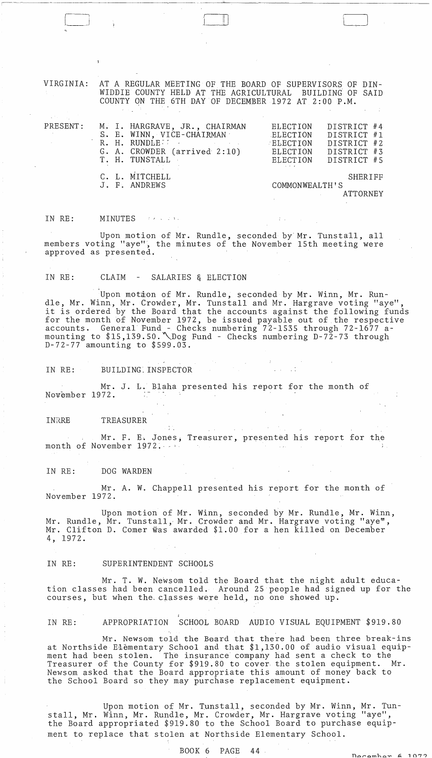VIRGINIA: AT A REGULAR MEETING OF THE BOARD OF SUPERVISORS OF DIN-WIDDIE COUNTY HELD AT THE AGRICULTURAL BUILDING OF SAID COUNTY ON THE 6TH DAY OF DECEMBER 1972 AT 2:00 P.M.

 $\Box$ 

| PRESENT: |  | M. I. HARGRAVE, JR., CHAIRMAN<br>S. E. WINN, VICE-CHAIRMAN<br>R. H. RUNDLE<br>the control of the state of the control of<br>G. A. CROWDER (arrived 2:10)<br>T. H. TUNSTALL | ELECTION<br>ELECTION<br>ELECTION<br>ELECTION | DISTRICT #4<br>DISTRICT #1<br>DISTRICT #2<br>DISTRICT #3<br>ELECTION DISTRICT #5 |
|----------|--|----------------------------------------------------------------------------------------------------------------------------------------------------------------------------|----------------------------------------------|----------------------------------------------------------------------------------|
|          |  | C. L. MITCHELL<br>J. F. ANDREWS                                                                                                                                            | COMMONWEALTH'S                               | SHERIFF<br>ATTORNEY                                                              |

IN RE: MINUTES (1999)

 $\mathbf{I}$  ,  $\mathbf{I}$ 

Upon motion of Mr. Rundle, seconded by'Mr. Tunstall, all members voting "aye", the minutes of the November 15th meeting were approved as presented.

IN RE: CLAIM - SALARIES & ELECTION

Upon motion of Mr. Rundle, seconded by Mr. Winn, Mr. Rundle, Mr. Winn, Mr. Crowder, Mr. Tunstall and Mr. Hargrave voting "aye", ale, MI. Will, MI. Clowdel, MI. Iddstail and MI. Haiglave voling aye, for the month of November 1972, be issued payable out of the respective accounts. General Fund – Checks numbering 72-1535 through 72-1677 amounting to \$15,139.50. \Dog Fund - Checks numbering D-72-73 through D-72-77 amounting to \$599.03.

IN RE: BUILDING. INSPECTOR

Mr. J. L. Blaha presented his report for the month of 72. November 1972.

INRRE TREASURER

Mr. F. E. Jones; Treasurer, presented his report for the month of November 1972.  $\sim 100$  km s  $^{-1}$ 

 $\Delta \phi = \Delta \phi$ 

IN RE: DOG WARDEN

Mr. A. W. Chappell presented his report for the month of November 1972.

Upon motion of Mr. Winn, seconded by Mr. Rundle, Mr. Winn, Mr. Rundle, Mr. Tunstall, Mr. Crowder and Mr. Hargrave voting "aye", Mr. Clifton D. Comer was awarded \$1.00 for a hen killed on December 4, 1972.

IN RE: SUPERINTENDENT SCHOOLS

Mr. T. W. Newsom told the Board that the night adult education classes had been cancelled. Around 25 people had signed up for the courses, but when the. classes were held, no one showed up.

IN RE: APPROPRIATION SCHOOL BOARD AUDIO VISUAL EQUIPMENT \$919.80

Mr. Newsom told the Beard that there had been three break-ins at Northside Elementary School and that \$1,130.00 of audio visual equipment had been stolen. The insurance company had sent a check to the Treasurer of the County for \$919.80 to cover the stolen equipment. Newsom asked that the Board appropriate this amount of money back to the School Board so they may purchase replacement equipment.

Upon motion of Mr. Tunstall, seconded by Mr. Winn, Mr. Tunstall, Mr. Winn, Mr. Rundle, Mr. Crowder, Mr. Hargrave voting "aye", the Board appropriated \$919.80 to the School Board to purchase equipment to replace that stolen at Northside Elementary School.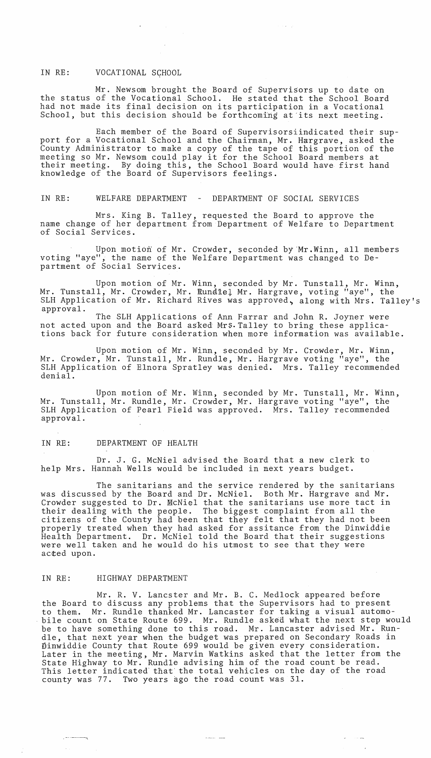## IN RE: VOCATIONAL SCHOOL

Mr. Newsom brought the Board of Supervisors up to date on the status of the Vocational School. He stated that the School Board had not made its final decision on its participation in a Vocational School, but this decision should be forthcoming at'its next meeting.

Each member of the Board of Supervisorsiindicated their support for a Vocational School and the Chairman, Mr. Hargrave, asked the County Administrator to make a copy of the tape of this portion of the county Administrator to make a copy of the tape of this portion of a<br>meeting so Mr. Newsom could play it for the School Board members at their meeting. By doing this, the School Board would have first hand knowledge of the Board of Supervisors feelings.

IN RE: WELFARE DEPARTMENT - DEPARTMENT OF SOCIAL SERVICES

Mrs. King B. Talley, requested the Board to approve the name change of her department from Department of Welfare to Department of Social Services.

Upon motion of Mr. Crowder, seconded by'Mr.Winn, all members voting "aye", the name of the Welfare Department was changed to Department of Social Services.

Upon motion of Mr. Winn, seconded by Mr. Tunstall, Mr. Winn, Mr. Tunstall, Mr. Crowder, Mr. Rundlel Mr. Hargrave, voting "aye", the SLH Application of Mr. Richard Rives was approved, along with Mrs. Talley's approval.

The SLH Applications of Ann Farrar and John R. Joyner were not acted upon and the Board asked MrS. Talley to bring these applications back for future consideration when more information was available.

Upon motion of Mr. Winn, seconded by Mr. Crowder, Mr. Winn, Mr. Crowder, Mr. Tunstall, Mr. Rundle, Mr. Hargrave voting "aye", the SLH Application of Elnora Spratley was denied. Mrs. Talley recommended denial.

Upon motion of Mr. Winn, seconded by Mr. Tunstall, Mr. Winn, Mr. Tunstall, Mr. Rundle, Mr. Crowder, Mr. Hargrave voting "aye", the SLH Application of Pearl Field was approved. Mrs. Talley recommended approval.

## IN RE: DEPARTMENT OF HEALTH

Dr. J. G. McNiel advised the Board that a new clerk to help Mrs. Hannah Wells would be included in next years budget.

The sanitarians and the service rendered by the sanitarians was discussed by the Board and Dr. McNiel. Both Mr. Hargrave and Mr. Crowder suggested to Dr. McNiel that the sanitarians use more tact in their dealing with the people. The biggest complaint from all the citizens of the County had been that they felt that they had not been properly treated when they had asked for assitance from the Dinwiddie Health Department. Dr. McNiel told the Board that their suggestions were well taken and he would do his utmost to see that they were acted upon.

## IN RE: HIGHWAY DEPARTMENT

, where

Mr. R. V. Lancster and Mr. B. C. Medlock appeared before the Board to discuss any problems that the Supervisors had to present to them. Mr. Rundle thanked Mr. Lancaster for taking a visual automo- . bile count on State Route 699. Mr. Rundle asked what the next step would be to have something done to this road. Mr. Lancaster advised Mr. Rundle, that next year when the budget was prepared on Secondary Roads in Dinwiddie County that Route 699 would be given every consideration. Later in the meeting, Mr. Marvin Watkins asked that the letter from the State Highway to Mr. Rundle advising him of the road count be read. This letter indicated' that' the total vehicles on the day of the road county was 77. Two years ago the road count was 31.

 $\label{eq:1} \begin{array}{ll} \mathcal{L}_{\mathcal{A}}(\mathbf{v},\mathbf{v},\mathbf{v}) = \mathcal{L}_{\mathcal{A}}(\mathbf{v},\mathbf{v},\mathbf{v}) \end{array}$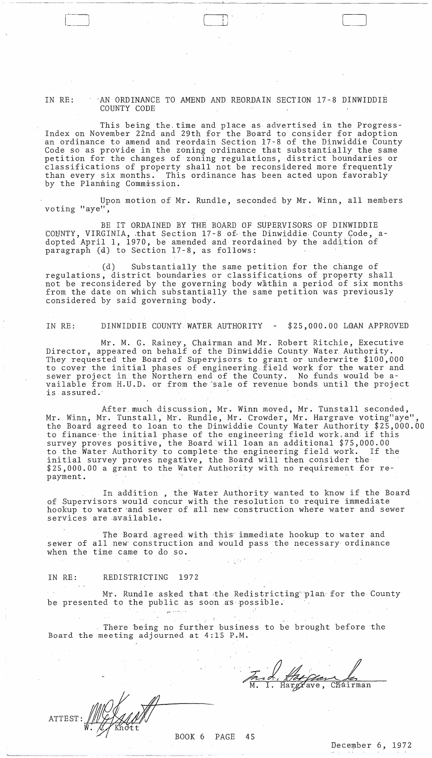IN RE:  $\cdot$  AN ORDINANCE TO AMEND AND REORDAIN SECTION 17-8 DINWIDDIE COUNTY CODE

 $\begin{array}{|c|c|} \hline \quad \quad & \quad \quad & \quad \quad \\ \hline \quad \quad & \quad \quad & \quad \quad \\ \hline \quad \quad & \quad \quad & \quad \quad \\ \hline \quad \quad & \quad \quad & \quad \quad \\ \hline \quad \quad & \quad \quad & \quad \quad \\ \hline \quad \quad & \quad \quad & \quad \quad \\ \hline \quad \quad & \quad \quad & \quad \quad \\ \hline \quad \quad & \quad \quad & \quad \quad \\ \hline \quad \quad & \quad \quad & \quad \quad \\ \hline \quad \quad & \quad \quad & \quad \quad \\ \hline \quad \quad & \quad \quad & \quad \quad \\ \hline \quad \quad & \quad \$ 

- ,----,--- - - -------,-------

 $[\_$ 

This being the, time and place as advertised in the Progress-Index on November 22nd and 29th for the Board to consider for adoption an ordinance to amend and reordain Section 17-8 of the Dinwiddie County Code so as provide in the zoning ordinance that substantially the same petition for the changes of zoning regulations, district boundaries or classifications of property shall not be reconsidered more frequently than every six months. This ordinance has been acted upon favorably by the Planning Commission.

Upon motion of Mr. Rundle, seconded by Mr. Winn, all members voting "aye",

BE IT ORDAINED BY THE BOARD OF SUPERVISORS OF DINWIDDIE COUNTY, VIRGINIA, that Section 17-8 of the Dinwiddie County Code, adopted April 1, 1970, be amended and reordained by the addition of paragraph (d) to Section 17-8, as follows:

(d) Substantially the same petition for the change of regulations, district boundaries or classifications of property shall not be reconsidered by the governing body whthin a period of six months from the date on which substantially the same petition was previously considered by said governing body.

IN RE: DINWIDDIE COUNTY WATER AUTHORITY - \$25,000.00 LQAN APPROVED

Mr. M. G. Rainey, Chairman and Mr. Robert Ritchie, Executive Director, appeared on behalf of the Dinwiddie County Water, Authority. They requested the Board of Supervisors to grant or underwrite \$100,000 to cover the initial phases of engineering, field work for the water and sewer project in the Northern end of the County. No funds would be available from H.U.D. or from the sale of revenue bonds until the project is assured.'

After much discussion, Mr. Winn moved, Mr. Tunstall seconded, Mr. Winn, Mr. Tunstall, Mr. Rundle, Mr. Crowder, Mr. Hargrave voting"aye" the Board agreed to loan to the Dinwiddie County Water Authority \$25,000.00 to finance the initial phase of the engineering field work and if this survey proves positive, the Board will loan an additional \$75,000.00<br>to the Water Authority to complete the engineering field work. If the to the Water Authority to complete the engineering field work. initial survey proves negative, the Board will then consider the \$25,000.00 a grant to the Water Authority with no requirement for repayment.

In addition, the Water Authority wanted to know if the Board of Supervisors would concur with the resolution to require immediate hookup to water and sewer of all new construction where water and sewer services are available.

The Board agreed with this immediate hookup to water and sewer of all new construction and would pass the necessary ordinance when the time came to do so.

## IN RE: REDISTRICTING 1972

Mr. Rundle asked that the Redistricting plan for the County be presented to the public as soon as possible.

There being no further business to be brought before the Board the meeting adjourned at 4:15 P.M.

~' '

Frid, Hargrave, Chairman

ATTEST: *UU YAYAAN* --- ,--,,-,------"

BOOK 6 PAGE 45

December 6, 1972